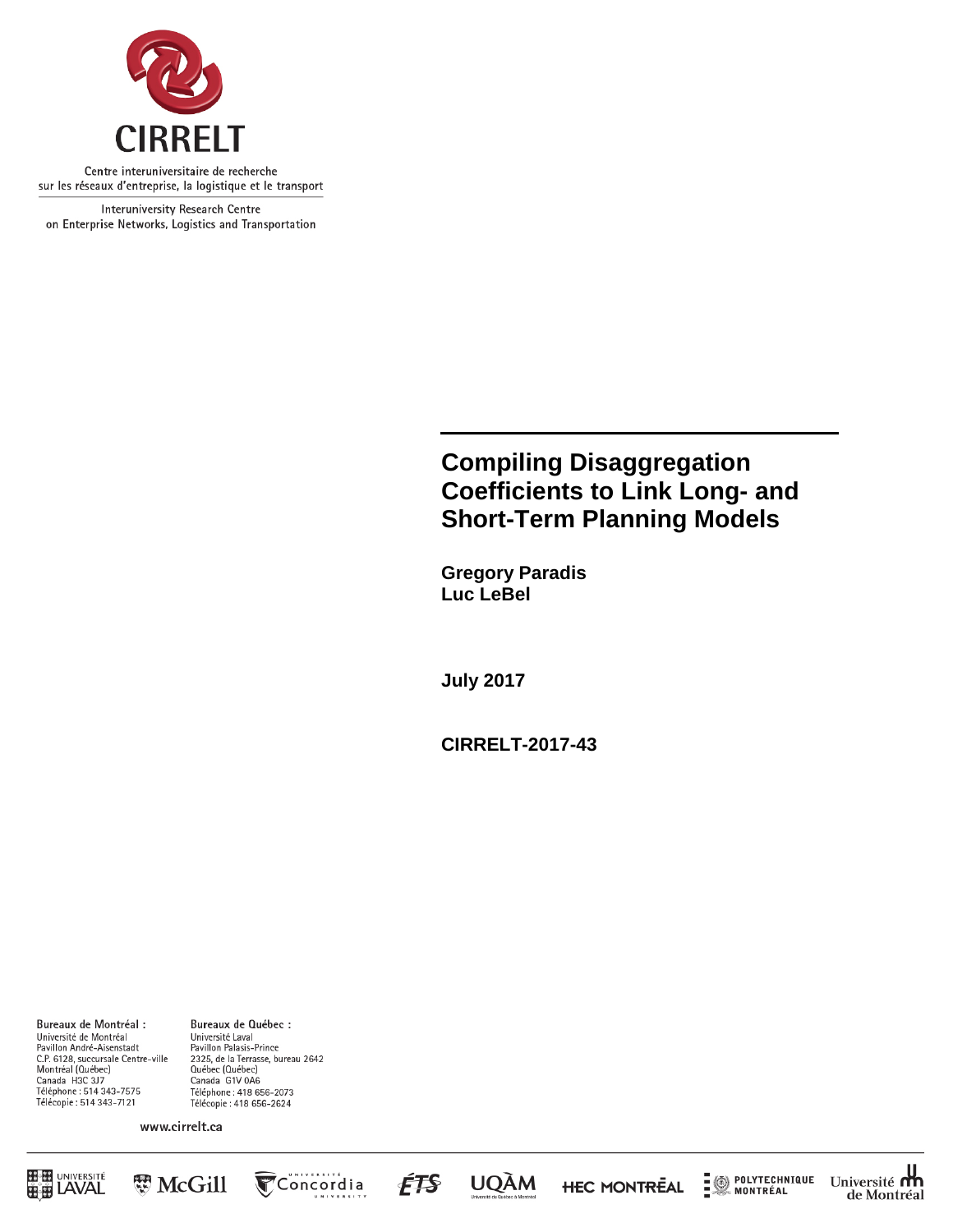

Centre interuniversitaire de recherche sur les réseaux d'entreprise, la logistique et le transport

Interuniversity Research Centre on Enterprise Networks, Logistics and Transportation

# **Compiling Disaggregation Coefficients to Link Long- and Short-Term Planning Models**

**Gregory Paradis Luc LeBel**

**July 2017**

**CIRRELT-2017-43**

Bureaux de Montréal : Université de Montréal Pavillon André-Aisenstadt C.P. 6128, succursale Centre-ville<br>Montréal (Québec) Canada H3C 3J7 Téléphone : 514 343-7575<br>Télécopie : 514 343-7121

Bureaux de Québec : Université Laval Pavillon Palasis-Prince 2325, de la Terrasse, bureau 2642<br>Québec (Québec) Canada G1V 0A6 Téléphone: 418 656-2073 Télécopie: 418 656-2624

www.cirrelt.ca





**UQÀM** 

ÉFS

**HEC MONTREAL** 



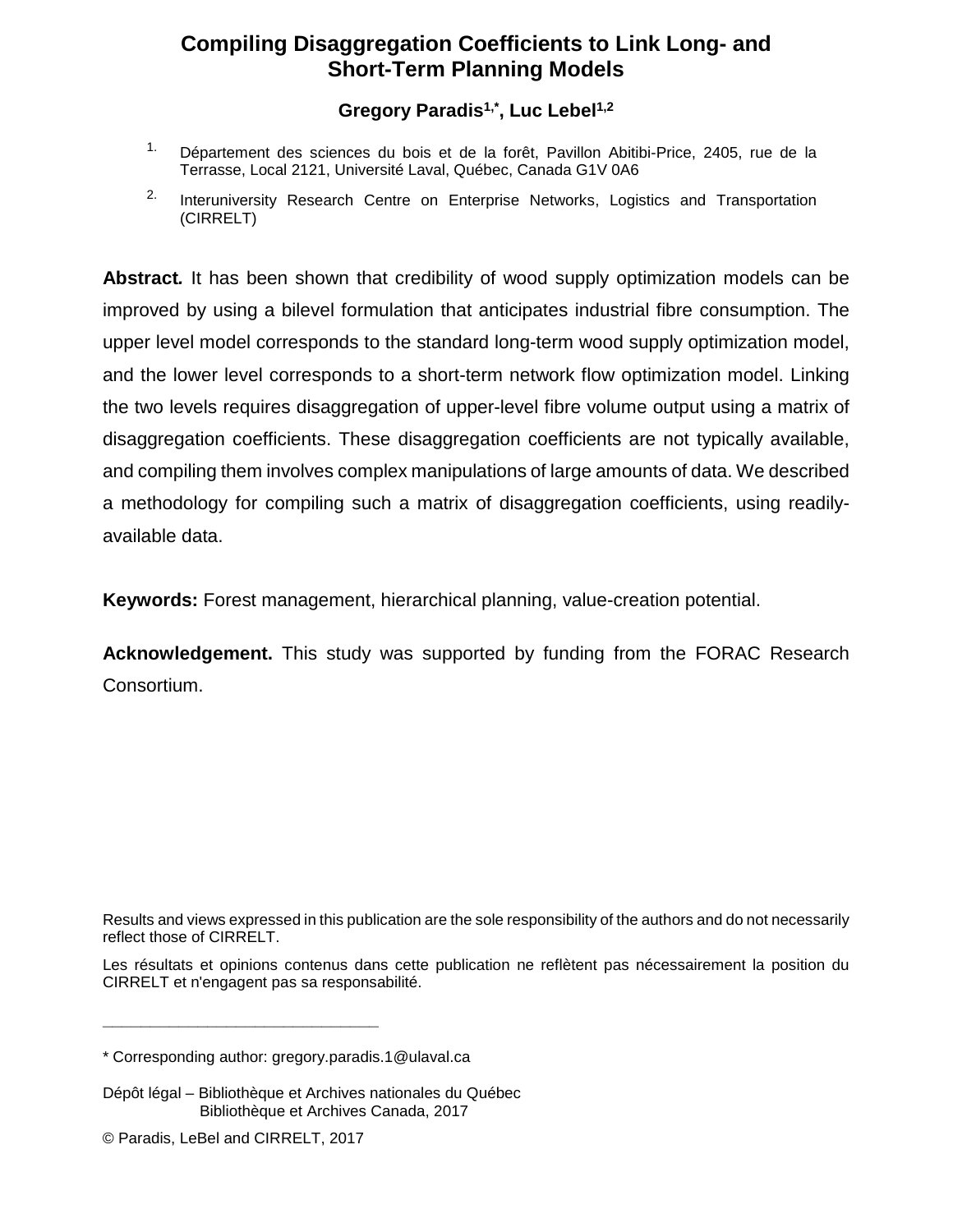# **Compiling Disaggregation Coefficients to Link Long- and Short-Term Planning Models**

## **Gregory Paradis1,\*, Luc Lebel1,2**

- <sup>1.</sup> Département des sciences du bois et de la forêt, Pavillon Abitibi-Price, 2405, rue de la Terrasse, Local 2121, Université Laval, Québec, Canada G1V 0A6
- <sup>2.</sup> Interuniversity Research Centre on Enterprise Networks, Logistics and Transportation (CIRRELT)

**Abstract***.* It has been shown that credibility of wood supply optimization models can be improved by using a bilevel formulation that anticipates industrial fibre consumption. The upper level model corresponds to the standard long-term wood supply optimization model, and the lower level corresponds to a short-term network flow optimization model. Linking the two levels requires disaggregation of upper-level fibre volume output using a matrix of disaggregation coefficients. These disaggregation coefficients are not typically available, and compiling them involves complex manipulations of large amounts of data. We described a methodology for compiling such a matrix of disaggregation coefficients, using readilyavailable data.

**Keywords:** Forest management, hierarchical planning, value-creation potential.

**Acknowledgement.** This study was supported by funding from the FORAC Research Consortium.

Results and views expressed in this publication are the sole responsibility of the authors and do not necessarily reflect those of CIRRELT.

Les résultats et opinions contenus dans cette publication ne reflètent pas nécessairement la position du CIRRELT et n'engagent pas sa responsabilité.

**\_\_\_\_\_\_\_\_\_\_\_\_\_\_\_\_\_\_\_\_\_\_\_\_\_\_\_\_\_**

<sup>\*</sup> Corresponding author: gregory.paradis.1@ulaval.ca

Dépôt légal – Bibliothèque et Archives nationales du Québec Bibliothèque et Archives Canada, 2017

<sup>©</sup> Paradis, LeBel and CIRRELT, 2017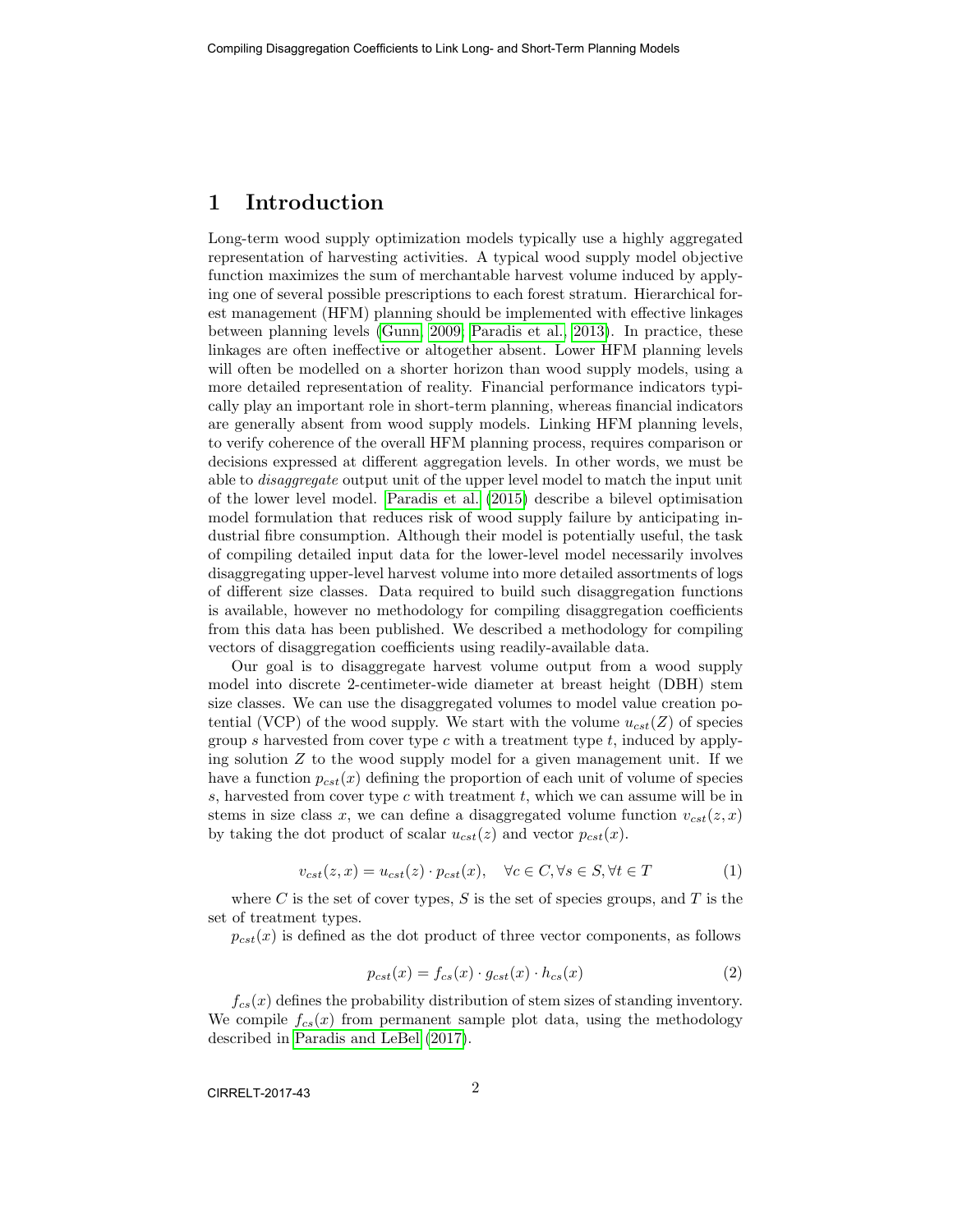#### 1 Introduction

Long-term wood supply optimization models typically use a highly aggregated representation of harvesting activities. A typical wood supply model objective function maximizes the sum of merchantable harvest volume induced by applying one of several possible prescriptions to each forest stratum. Hierarchical forest management (HFM) planning should be implemented with effective linkages between planning levels [\(Gunn, 2009;](#page-6-0) [Paradis et al., 2013\)](#page-6-1). In practice, these linkages are often ineffective or altogether absent. Lower HFM planning levels will often be modelled on a shorter horizon than wood supply models, using a more detailed representation of reality. Financial performance indicators typically play an important role in short-term planning, whereas financial indicators are generally absent from wood supply models. Linking HFM planning levels, to verify coherence of the overall HFM planning process, requires comparison or decisions expressed at different aggregation levels. In other words, we must be able to disaggregate output unit of the upper level model to match the input unit of the lower level model. [Paradis et al.](#page-6-2) [\(2015\)](#page-6-2) describe a bilevel optimisation model formulation that reduces risk of wood supply failure by anticipating industrial fibre consumption. Although their model is potentially useful, the task of compiling detailed input data for the lower-level model necessarily involves disaggregating upper-level harvest volume into more detailed assortments of logs of different size classes. Data required to build such disaggregation functions is available, however no methodology for compiling disaggregation coefficients from this data has been published. We described a methodology for compiling vectors of disaggregation coefficients using readily-available data.

Our goal is to disaggregate harvest volume output from a wood supply model into discrete 2-centimeter-wide diameter at breast height (DBH) stem size classes. We can use the disaggregated volumes to model value creation potential (VCP) of the wood supply. We start with the volume  $u_{cst}(Z)$  of species group s harvested from cover type c with a treatment type  $t$ , induced by applying solution  $Z$  to the wood supply model for a given management unit. If we have a function  $p_{cst}(x)$  defining the proportion of each unit of volume of species  $s$ , harvested from cover type  $c$  with treatment  $t$ , which we can assume will be in stems in size class x, we can define a disaggregated volume function  $v_{cst}(z, x)$ by taking the dot product of scalar  $u_{cst}(z)$  and vector  $p_{cst}(x)$ .

$$
v_{cst}(z, x) = u_{cst}(z) \cdot p_{cst}(x), \quad \forall c \in C, \forall s \in S, \forall t \in T
$$
 (1)

where  $C$  is the set of cover types,  $S$  is the set of species groups, and  $T$  is the set of treatment types.

 $p_{cst}(x)$  is defined as the dot product of three vector components, as follows

$$
p_{cst}(x) = f_{cs}(x) \cdot g_{cst}(x) \cdot h_{cs}(x) \tag{2}
$$

 $f_{cs}(x)$  defines the probability distribution of stem sizes of standing inventory. We compile  $f_{cs}(x)$  from permanent sample plot data, using the methodology described in [Paradis and LeBel](#page-6-3) [\(2017\)](#page-6-3).

CIRRELT-2017-43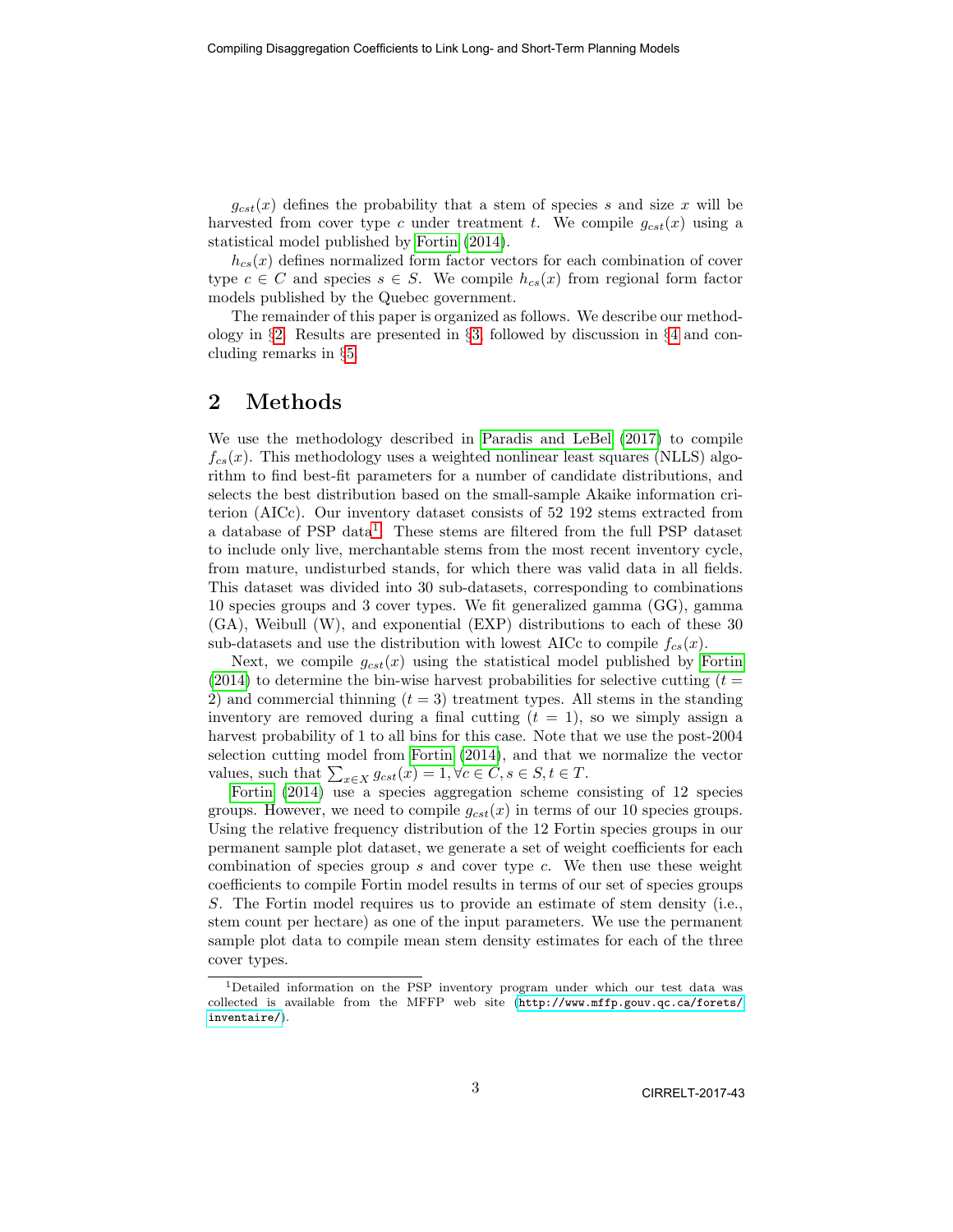$g_{cst}(x)$  defines the probability that a stem of species s and size x will be harvested from cover type c under treatment t. We compile  $g_{cst}(x)$  using a statistical model published by [Fortin](#page-6-4) [\(2014\)](#page-6-4).

 $h_{cs}(x)$  defines normalized form factor vectors for each combination of cover type  $c \in C$  and species  $s \in S$ . We compile  $h_{cs}(x)$  from regional form factor models published by the Quebec government.

The remainder of this paper is organized as follows. We describe our methodology in §[2.](#page-3-0) Results are presented in §[3,](#page-4-0) followed by discussion in §[4](#page-4-1) and concluding remarks in §[5.](#page-5-0)

#### <span id="page-3-0"></span>2 Methods

We use the methodology described in [Paradis and LeBel](#page-6-3) [\(2017\)](#page-6-3) to compile  $f_{cs}(x)$ . This methodology uses a weighted nonlinear least squares (NLLS) algorithm to find best-fit parameters for a number of candidate distributions, and selects the best distribution based on the small-sample Akaike information criterion (AICc). Our inventory dataset consists of 52 192 stems extracted from a database of PSP data<sup>[1](#page-3-1)</sup>. These stems are filtered from the full PSP dataset to include only live, merchantable stems from the most recent inventory cycle, from mature, undisturbed stands, for which there was valid data in all fields. This dataset was divided into 30 sub-datasets, corresponding to combinations 10 species groups and 3 cover types. We fit generalized gamma (GG), gamma (GA), Weibull (W), and exponential (EXP) distributions to each of these 30 sub-datasets and use the distribution with lowest AICc to compile  $f_{cs}(x)$ .

Next, we compile  $g_{cst}(x)$  using the statistical model published by [Fortin](#page-6-4)  $(2014)$  to determine the bin-wise harvest probabilities for selective cutting  $(t =$ 2) and commercial thinning  $(t = 3)$  treatment types. All stems in the standing inventory are removed during a final cutting  $(t = 1)$ , so we simply assign a harvest probability of 1 to all bins for this case. Note that we use the post-2004 selection cutting model from [Fortin](#page-6-4) [\(2014\)](#page-6-4), and that we normalize the vector values, such that  $\sum_{x \in X} g_{cst}(x) = 1, \forall c \in C, s \in S, t \in T$ .

[Fortin](#page-6-4) [\(2014\)](#page-6-4) use a species aggregation scheme consisting of 12 species groups. However, we need to compile  $g_{cst}(x)$  in terms of our 10 species groups. Using the relative frequency distribution of the 12 Fortin species groups in our permanent sample plot dataset, we generate a set of weight coefficients for each combination of species group s and cover type c. We then use these weight coefficients to compile Fortin model results in terms of our set of species groups S. The Fortin model requires us to provide an estimate of stem density (i.e., stem count per hectare) as one of the input parameters. We use the permanent sample plot data to compile mean stem density estimates for each of the three cover types.

<span id="page-3-1"></span><sup>1</sup>Detailed information on the PSP inventory program under which our test data was collected is available from the MFFP web site ([http://www.mffp.gouv.qc.ca/forets/](http://www.mffp.gouv.qc.ca/forets/inventaire/) [inventaire/](http://www.mffp.gouv.qc.ca/forets/inventaire/)).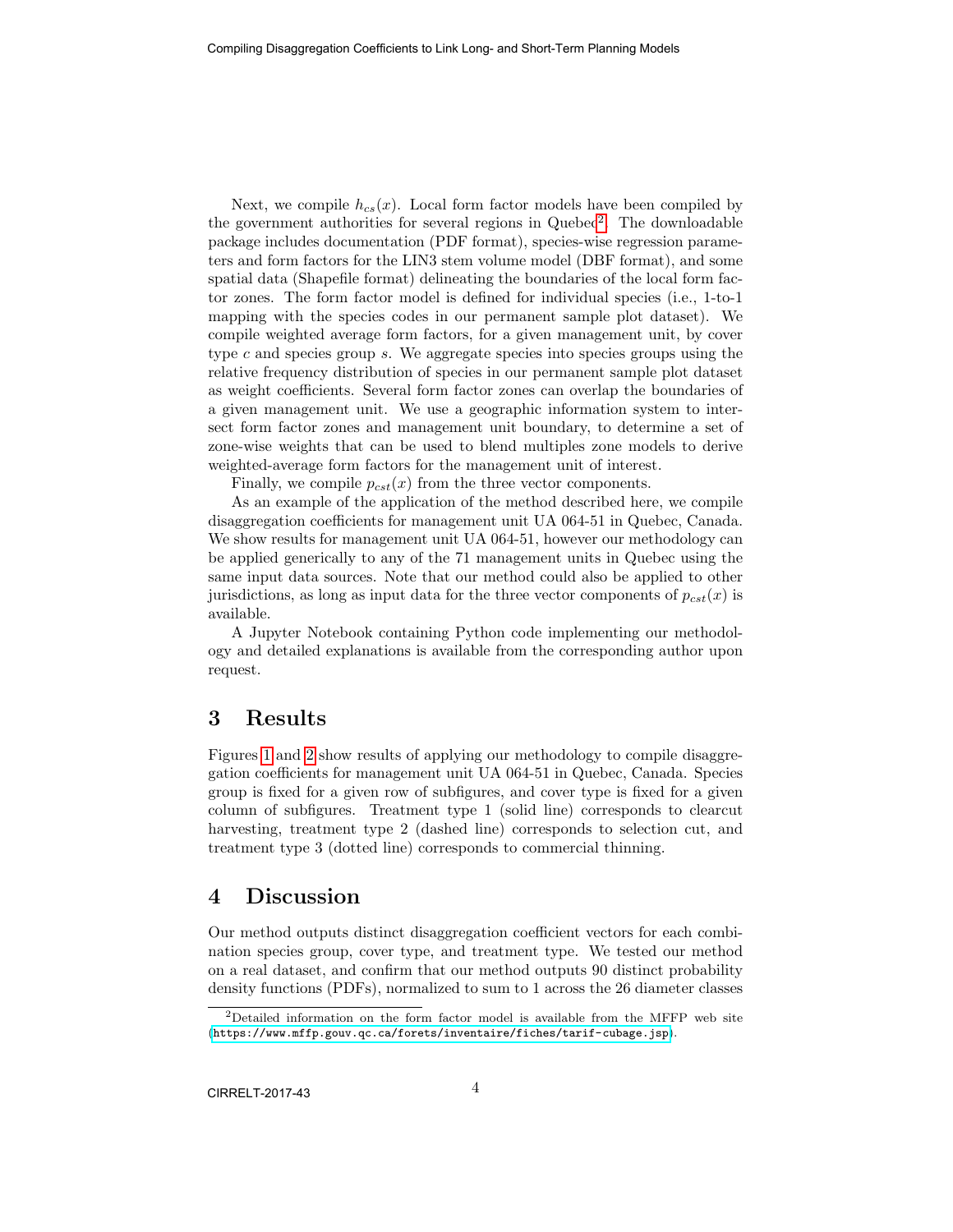Next, we compile  $h_{cs}(x)$ . Local form factor models have been compiled by the government authorities for several regions in Quebec<sup>[2](#page-4-2)</sup>. The downloadable package includes documentation (PDF format), species-wise regression parameters and form factors for the LIN3 stem volume model (DBF format), and some spatial data (Shapefile format) delineating the boundaries of the local form factor zones. The form factor model is defined for individual species (i.e., 1-to-1 mapping with the species codes in our permanent sample plot dataset). We compile weighted average form factors, for a given management unit, by cover type c and species group s. We aggregate species into species groups using the relative frequency distribution of species in our permanent sample plot dataset as weight coefficients. Several form factor zones can overlap the boundaries of a given management unit. We use a geographic information system to intersect form factor zones and management unit boundary, to determine a set of zone-wise weights that can be used to blend multiples zone models to derive weighted-average form factors for the management unit of interest.

Finally, we compile  $p_{cst}(x)$  from the three vector components.

As an example of the application of the method described here, we compile disaggregation coefficients for management unit UA 064-51 in Quebec, Canada. We show results for management unit UA 064-51, however our methodology can be applied generically to any of the 71 management units in Quebec using the same input data sources. Note that our method could also be applied to other jurisdictions, as long as input data for the three vector components of  $p_{cst}(x)$  is available.

A Jupyter Notebook containing Python code implementing our methodology and detailed explanations is available from the corresponding author upon request.

#### <span id="page-4-0"></span>3 Results

Figures [1](#page-7-0) and [2](#page-8-0) show results of applying our methodology to compile disaggregation coefficients for management unit UA 064-51 in Quebec, Canada. Species group is fixed for a given row of subfigures, and cover type is fixed for a given column of subfigures. Treatment type 1 (solid line) corresponds to clearcut harvesting, treatment type 2 (dashed line) corresponds to selection cut, and treatment type 3 (dotted line) corresponds to commercial thinning.

#### <span id="page-4-1"></span>4 Discussion

Our method outputs distinct disaggregation coefficient vectors for each combination species group, cover type, and treatment type. We tested our method on a real dataset, and confirm that our method outputs 90 distinct probability density functions (PDFs), normalized to sum to 1 across the 26 diameter classes

<span id="page-4-2"></span> $2$ Detailed information on the form factor model is available from the MFFP web site (<https://www.mffp.gouv.qc.ca/forets/inventaire/fiches/tarif-cubage.jsp>).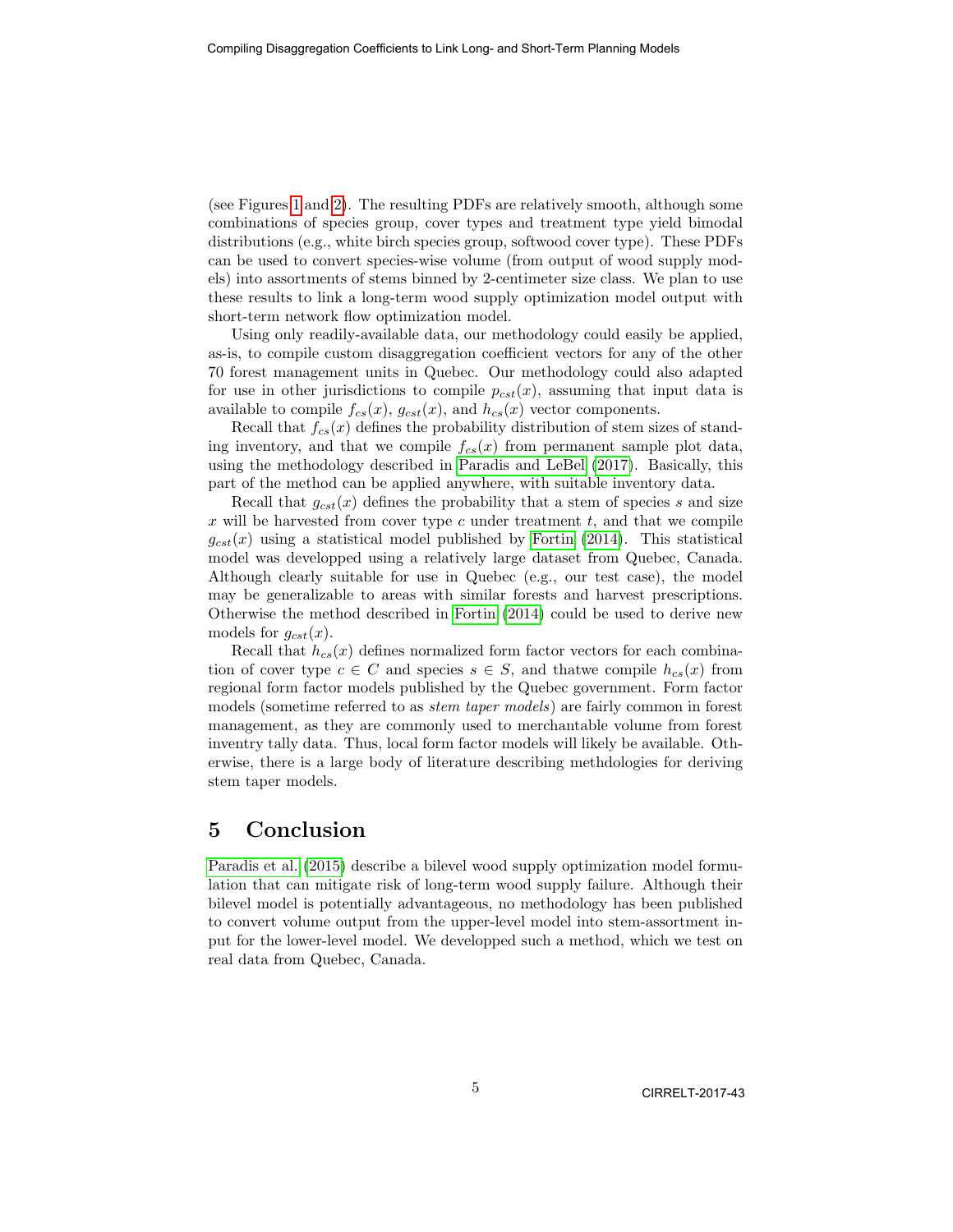(see Figures [1](#page-7-0) and [2\)](#page-8-0). The resulting PDFs are relatively smooth, although some combinations of species group, cover types and treatment type yield bimodal distributions (e.g., white birch species group, softwood cover type). These PDFs can be used to convert species-wise volume (from output of wood supply models) into assortments of stems binned by 2-centimeter size class. We plan to use these results to link a long-term wood supply optimization model output with short-term network flow optimization model.

Using only readily-available data, our methodology could easily be applied, as-is, to compile custom disaggregation coefficient vectors for any of the other 70 forest management units in Quebec. Our methodology could also adapted for use in other jurisdictions to compile  $p_{cst}(x)$ , assuming that input data is available to compile  $f_{cs}(x)$ ,  $g_{cst}(x)$ , and  $h_{cs}(x)$  vector components.

Recall that  $f_{cs}(x)$  defines the probability distribution of stem sizes of standing inventory, and that we compile  $f_{cs}(x)$  from permanent sample plot data, using the methodology described in [Paradis and LeBel](#page-6-3) [\(2017\)](#page-6-3). Basically, this part of the method can be applied anywhere, with suitable inventory data.

Recall that  $g_{cst}(x)$  defines the probability that a stem of species s and size  $x$  will be harvested from cover type  $c$  under treatment  $t$ , and that we compile  $g_{cst}(x)$  using a statistical model published by [Fortin](#page-6-4) [\(2014\)](#page-6-4). This statistical model was developped using a relatively large dataset from Quebec, Canada. Although clearly suitable for use in Quebec (e.g., our test case), the model may be generalizable to areas with similar forests and harvest prescriptions. Otherwise the method described in [Fortin](#page-6-4) [\(2014\)](#page-6-4) could be used to derive new models for  $g_{cst}(x)$ .

Recall that  $h_{cs}(x)$  defines normalized form factor vectors for each combination of cover type  $c \in C$  and species  $s \in S$ , and thatwe compile  $h_{cs}(x)$  from regional form factor models published by the Quebec government. Form factor models (sometime referred to as stem taper models) are fairly common in forest management, as they are commonly used to merchantable volume from forest inventry tally data. Thus, local form factor models will likely be available. Otherwise, there is a large body of literature describing methdologies for deriving stem taper models.

#### <span id="page-5-0"></span>5 Conclusion

[Paradis et al.](#page-6-2) [\(2015\)](#page-6-2) describe a bilevel wood supply optimization model formulation that can mitigate risk of long-term wood supply failure. Although their bilevel model is potentially advantageous, no methodology has been published to convert volume output from the upper-level model into stem-assortment input for the lower-level model. We developped such a method, which we test on real data from Quebec, Canada.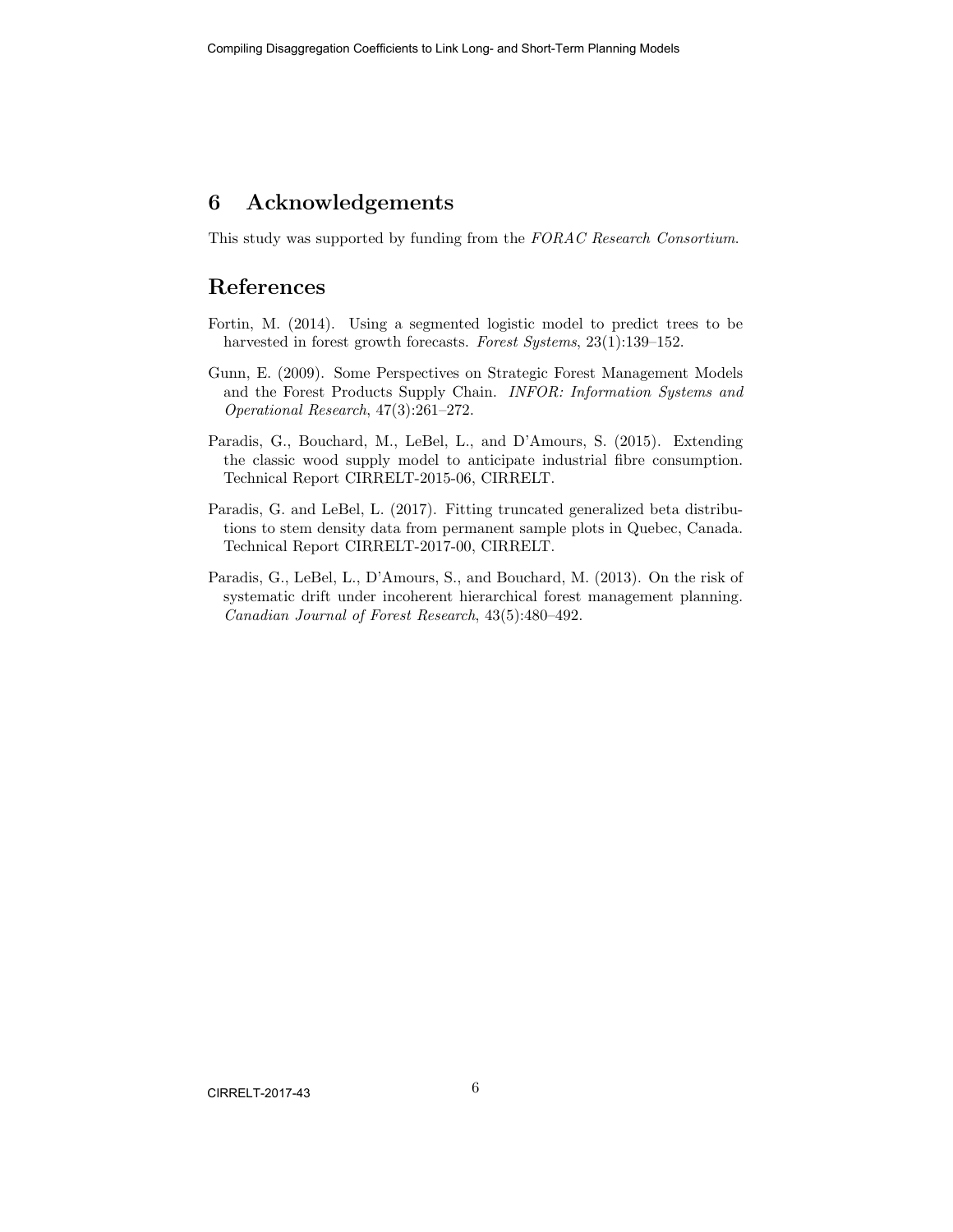### 6 Acknowledgements

This study was supported by funding from the FORAC Research Consortium.

#### References

- <span id="page-6-4"></span>Fortin, M. (2014). Using a segmented logistic model to predict trees to be harvested in forest growth forecasts. Forest Systems, 23(1):139–152.
- <span id="page-6-0"></span>Gunn, E. (2009). Some Perspectives on Strategic Forest Management Models and the Forest Products Supply Chain. INFOR: Information Systems and Operational Research, 47(3):261–272.
- <span id="page-6-2"></span>Paradis, G., Bouchard, M., LeBel, L., and D'Amours, S. (2015). Extending the classic wood supply model to anticipate industrial fibre consumption. Technical Report CIRRELT-2015-06, CIRRELT.
- <span id="page-6-3"></span>Paradis, G. and LeBel, L. (2017). Fitting truncated generalized beta distributions to stem density data from permanent sample plots in Quebec, Canada. Technical Report CIRRELT-2017-00, CIRRELT.
- <span id="page-6-1"></span>Paradis, G., LeBel, L., D'Amours, S., and Bouchard, M. (2013). On the risk of systematic drift under incoherent hierarchical forest management planning. Canadian Journal of Forest Research, 43(5):480–492.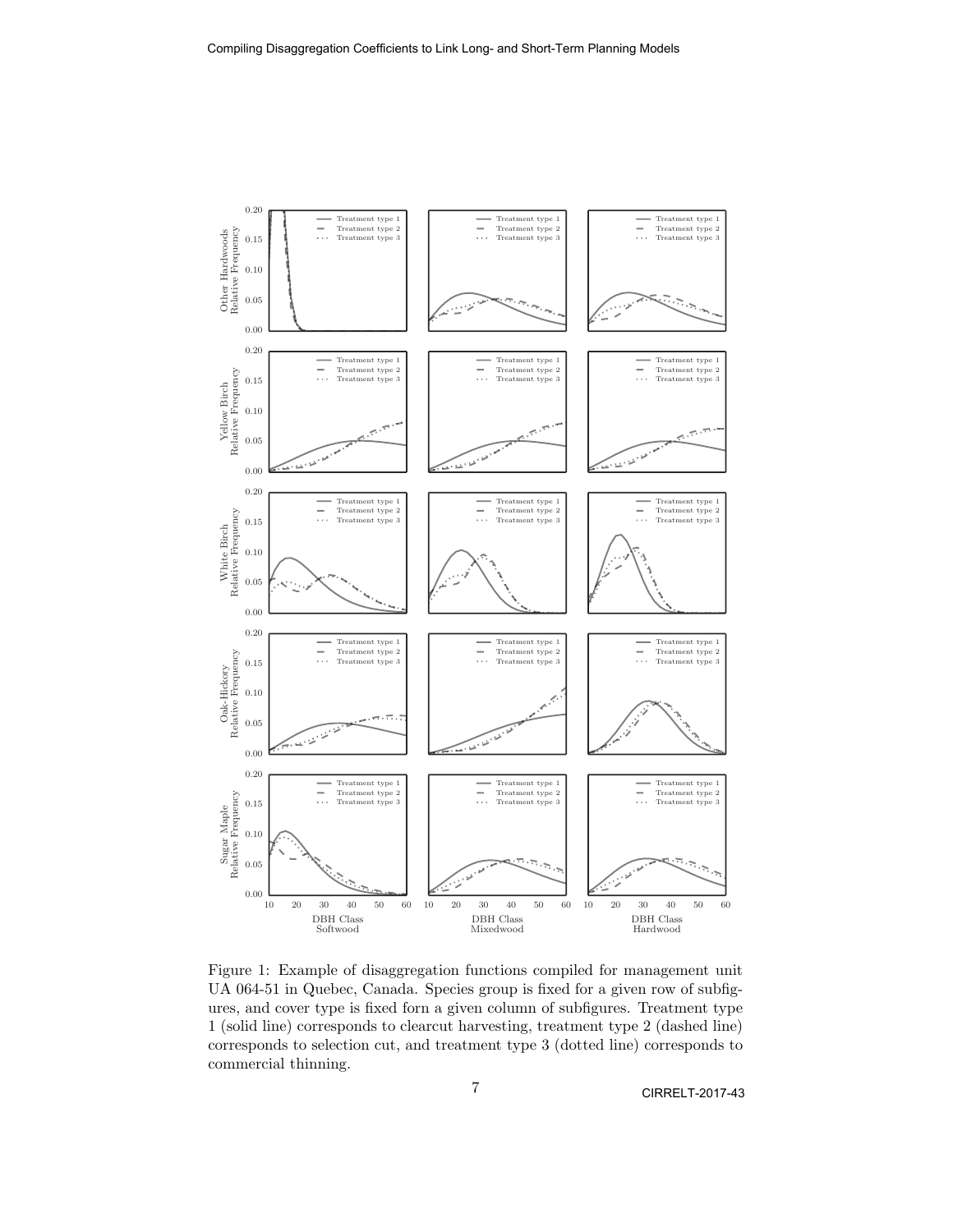<span id="page-7-0"></span>

Figure 1: Example of disaggregation functions compiled for management unit UA 064-51 in Quebec, Canada. Species group is fixed for a given row of subfigures, and cover type is fixed forn a given column of subfigures. Treatment type 1 (solid line) corresponds to clearcut harvesting, treatment type 2 (dashed line) corresponds to selection cut, and treatment type 3 (dotted line) corresponds to commercial thinning.

CIRRELT-2017-43